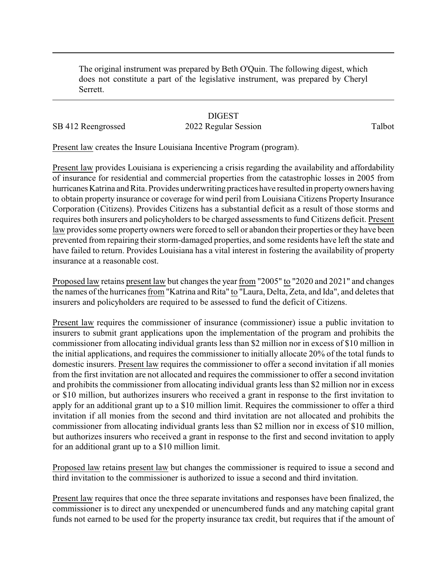The original instrument was prepared by Beth O'Quin. The following digest, which does not constitute a part of the legislative instrument, was prepared by Cheryl Serrett.

## **DIGEST**

## SB 412 Reengrossed 2022 Regular Session Talbot

Present law creates the Insure Louisiana Incentive Program (program).

Present law provides Louisiana is experiencing a crisis regarding the availability and affordability of insurance for residential and commercial properties from the catastrophic losses in 2005 from hurricanes Katrina and Rita. Provides underwriting practices have resulted in property owners having to obtain property insurance or coverage for wind peril from Louisiana Citizens Property Insurance Corporation (Citizens). Provides Citizens has a substantial deficit as a result of those storms and requires both insurers and policyholders to be charged assessments to fund Citizens deficit. Present law provides some property owners were forced to sell or abandon their properties or they have been prevented from repairing their storm-damaged properties, and some residents have left the state and have failed to return. Provides Louisiana has a vital interest in fostering the availability of property insurance at a reasonable cost.

Proposed law retains present law but changes the year from "2005" to "2020 and 2021" and changes the names of the hurricanes from "Katrina and Rita" to "Laura, Delta, Zeta, and Ida", and deletes that insurers and policyholders are required to be assessed to fund the deficit of Citizens.

Present law requires the commissioner of insurance (commissioner) issue a public invitation to insurers to submit grant applications upon the implementation of the program and prohibits the commissioner from allocating individual grants less than \$2 million nor in excess of \$10 million in the initial applications, and requires the commissioner to initially allocate 20% of the total funds to domestic insurers. Present law requires the commissioner to offer a second invitation if all monies from the first invitation are not allocated and requires the commissioner to offer a second invitation and prohibits the commissioner from allocating individual grants less than \$2 million nor in excess or \$10 million, but authorizes insurers who received a grant in response to the first invitation to apply for an additional grant up to a \$10 million limit. Requires the commissioner to offer a third invitation if all monies from the second and third invitation are not allocated and prohibits the commissioner from allocating individual grants less than \$2 million nor in excess of \$10 million, but authorizes insurers who received a grant in response to the first and second invitation to apply for an additional grant up to a \$10 million limit.

Proposed law retains present law but changes the commissioner is required to issue a second and third invitation to the commissioner is authorized to issue a second and third invitation.

Present law requires that once the three separate invitations and responses have been finalized, the commissioner is to direct any unexpended or unencumbered funds and any matching capital grant funds not earned to be used for the property insurance tax credit, but requires that if the amount of